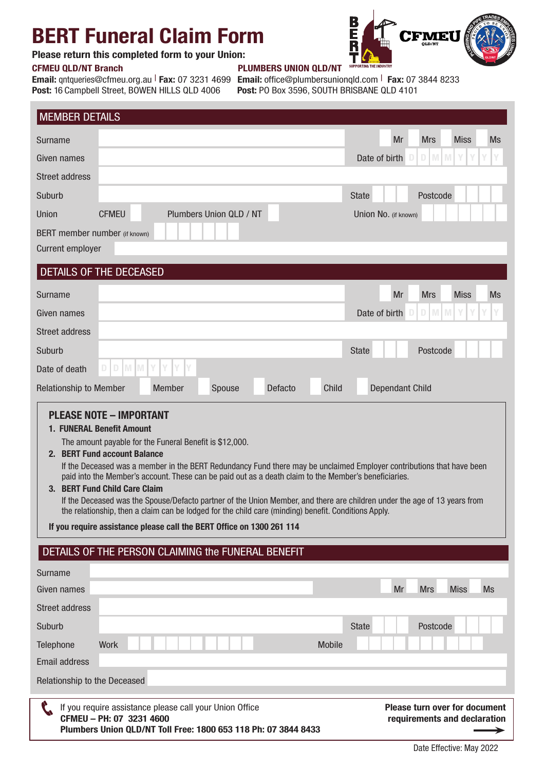## BERT Funeral Claim Form

## Please return this completed form to your Union:

Post: 16 Campbell Street, BOWEN HILLS QLD 4006 Post: PO Box 3596, SOUTH BRISBANE QLD 4101

## CFMEU QLD/NT Branch PLUMBERS UNION QLD/NT

Email: qntqueries@cfmeu.org.au | Fax: 07 3231 4699 Email: office@plumbersunionqld.com | Fax: 07 3844 8233

| <b>MEMBER DETAILS</b>                                                                                                                                                                                                                                                                                                                                                                                                                                                                                                                                                                                         |                                                                                                                                                       |                                                                      |  |  |  |  |  |
|---------------------------------------------------------------------------------------------------------------------------------------------------------------------------------------------------------------------------------------------------------------------------------------------------------------------------------------------------------------------------------------------------------------------------------------------------------------------------------------------------------------------------------------------------------------------------------------------------------------|-------------------------------------------------------------------------------------------------------------------------------------------------------|----------------------------------------------------------------------|--|--|--|--|--|
| Surname                                                                                                                                                                                                                                                                                                                                                                                                                                                                                                                                                                                                       |                                                                                                                                                       | Mr<br><b>Miss</b><br><b>Ms</b><br><b>Mrs</b>                         |  |  |  |  |  |
| Given names                                                                                                                                                                                                                                                                                                                                                                                                                                                                                                                                                                                                   |                                                                                                                                                       | Date of birth<br>D.<br>M<br><b>M</b>                                 |  |  |  |  |  |
| <b>Street address</b>                                                                                                                                                                                                                                                                                                                                                                                                                                                                                                                                                                                         |                                                                                                                                                       |                                                                      |  |  |  |  |  |
| Suburb                                                                                                                                                                                                                                                                                                                                                                                                                                                                                                                                                                                                        |                                                                                                                                                       | <b>State</b><br>Postcode                                             |  |  |  |  |  |
| Union                                                                                                                                                                                                                                                                                                                                                                                                                                                                                                                                                                                                         | <b>CFMEU</b><br>Plumbers Union QLD / NT                                                                                                               | Union No. (if known)                                                 |  |  |  |  |  |
| BERT member number (if known)                                                                                                                                                                                                                                                                                                                                                                                                                                                                                                                                                                                 |                                                                                                                                                       |                                                                      |  |  |  |  |  |
| <b>Current employer</b>                                                                                                                                                                                                                                                                                                                                                                                                                                                                                                                                                                                       |                                                                                                                                                       |                                                                      |  |  |  |  |  |
|                                                                                                                                                                                                                                                                                                                                                                                                                                                                                                                                                                                                               | DETAILS OF THE DECEASED                                                                                                                               |                                                                      |  |  |  |  |  |
| Surname                                                                                                                                                                                                                                                                                                                                                                                                                                                                                                                                                                                                       |                                                                                                                                                       | Mr<br><b>Mrs</b><br><b>Miss</b><br><b>Ms</b>                         |  |  |  |  |  |
| Given names                                                                                                                                                                                                                                                                                                                                                                                                                                                                                                                                                                                                   |                                                                                                                                                       | Date of birth<br>D<br>M<br><b>M</b>                                  |  |  |  |  |  |
| <b>Street address</b>                                                                                                                                                                                                                                                                                                                                                                                                                                                                                                                                                                                         |                                                                                                                                                       |                                                                      |  |  |  |  |  |
| Suburb                                                                                                                                                                                                                                                                                                                                                                                                                                                                                                                                                                                                        |                                                                                                                                                       | <b>State</b><br>Postcode                                             |  |  |  |  |  |
| Date of death                                                                                                                                                                                                                                                                                                                                                                                                                                                                                                                                                                                                 | $\mathbb D$<br><b>MMY</b><br>Y<br>D                                                                                                                   |                                                                      |  |  |  |  |  |
| <b>Relationship to Member</b>                                                                                                                                                                                                                                                                                                                                                                                                                                                                                                                                                                                 | Child<br><b>Member</b><br>Spouse<br>Defacto                                                                                                           | <b>Dependant Child</b>                                               |  |  |  |  |  |
| 2. BERT Fund account Balance<br>If the Deceased was a member in the BERT Redundancy Fund there may be unclaimed Employer contributions that have been<br>paid into the Member's account. These can be paid out as a death claim to the Member's beneficiaries.<br>3. BERT Fund Child Care Claim<br>If the Deceased was the Spouse/Defacto partner of the Union Member, and there are children under the age of 13 years from<br>the relationship, then a claim can be lodged for the child care (minding) benefit. Conditions Apply.<br>If you require assistance please call the BERT Office on 1300 261 114 |                                                                                                                                                       |                                                                      |  |  |  |  |  |
|                                                                                                                                                                                                                                                                                                                                                                                                                                                                                                                                                                                                               | DETAILS OF THE PERSON CLAIMING the FUNERAL BENEFIT                                                                                                    |                                                                      |  |  |  |  |  |
| Surname                                                                                                                                                                                                                                                                                                                                                                                                                                                                                                                                                                                                       |                                                                                                                                                       |                                                                      |  |  |  |  |  |
| Given names                                                                                                                                                                                                                                                                                                                                                                                                                                                                                                                                                                                                   |                                                                                                                                                       | Mr<br><b>Mrs</b><br><b>Miss</b><br><b>Ms</b>                         |  |  |  |  |  |
| <b>Street address</b>                                                                                                                                                                                                                                                                                                                                                                                                                                                                                                                                                                                         |                                                                                                                                                       |                                                                      |  |  |  |  |  |
| Suburb                                                                                                                                                                                                                                                                                                                                                                                                                                                                                                                                                                                                        |                                                                                                                                                       | Postcode<br><b>State</b>                                             |  |  |  |  |  |
| Telephone                                                                                                                                                                                                                                                                                                                                                                                                                                                                                                                                                                                                     | <b>Work</b><br><b>Mobile</b>                                                                                                                          |                                                                      |  |  |  |  |  |
| <b>Email address</b>                                                                                                                                                                                                                                                                                                                                                                                                                                                                                                                                                                                          |                                                                                                                                                       |                                                                      |  |  |  |  |  |
| Relationship to the Deceased                                                                                                                                                                                                                                                                                                                                                                                                                                                                                                                                                                                  |                                                                                                                                                       |                                                                      |  |  |  |  |  |
|                                                                                                                                                                                                                                                                                                                                                                                                                                                                                                                                                                                                               | If you require assistance please call your Union Office<br>CFMEU - PH: 07 3231 4600<br>Plumbers Union QLD/NT Toll Free: 1800 653 118 Ph: 07 3844 8433 | <b>Please turn over for document</b><br>requirements and declaration |  |  |  |  |  |

Date Effective: May 2022